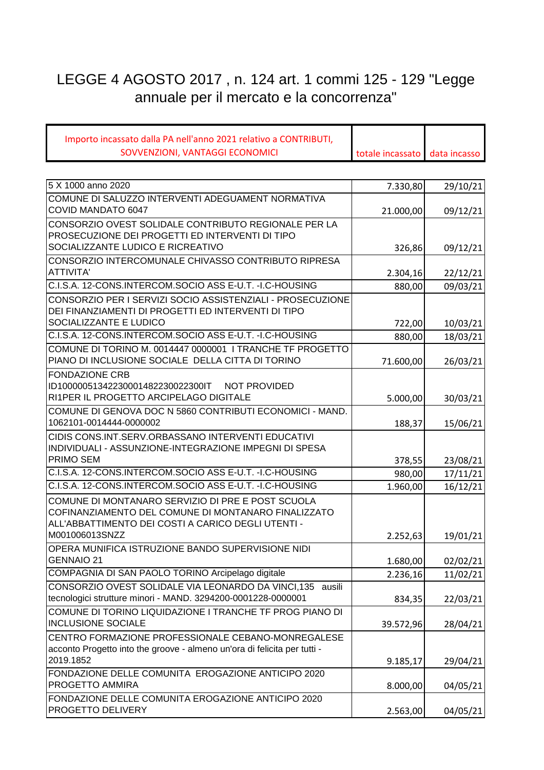## LEGGE 4 AGOSTO 2017 , n. 124 art. 1 commi 125 - 129 "Legge annuale per il mercato e la concorrenza"

| Importo incassato dalla PA nell'anno 2021 relativo a CONTRIBUTI,                                          |                  |              |
|-----------------------------------------------------------------------------------------------------------|------------------|--------------|
| SOVVENZIONI, VANTAGGI ECONOMICI                                                                           | totale incassato | data incasso |
|                                                                                                           |                  |              |
| 5 X 1000 anno 2020                                                                                        | 7.330,80         | 29/10/21     |
| COMUNE DI SALUZZO INTERVENTI ADEGUAMENT NORMATIVA<br>COVID MANDATO 6047                                   | 21.000,00        | 09/12/21     |
| CONSORZIO OVEST SOLIDALE CONTRIBUTO REGIONALE PER LA                                                      |                  |              |
| PROSECUZIONE DEI PROGETTI ED INTERVENTI DI TIPO                                                           |                  |              |
| SOCIALIZZANTE LUDICO E RICREATIVO                                                                         | 326,86           | 09/12/21     |
| CONSORZIO INTERCOMUNALE CHIVASSO CONTRIBUTO RIPRESA                                                       |                  |              |
| ATTIVITA'                                                                                                 | 2.304,16         | 22/12/21     |
| C.I.S.A. 12-CONS.INTERCOM.SOCIO ASS E-U.T. - I.C-HOUSING                                                  | 880,00           | 09/03/21     |
| CONSORZIO PER I SERVIZI SOCIO ASSISTENZIALI - PROSECUZIONE                                                |                  |              |
| DEI FINANZIAMENTI DI PROGETTI ED INTERVENTI DI TIPO<br>SOCIALIZZANTE E LUDICO                             |                  |              |
| C.I.S.A. 12-CONS.INTERCOM.SOCIO ASS E-U.T. -I.C-HOUSING                                                   | 722,00           | 10/03/21     |
| COMUNE DI TORINO M. 0014447 0000001 I TRANCHE TF PROGETTO                                                 | 880,00           | 18/03/21     |
| PIANO DI INCLUSIONE SOCIALE DELLA CITTA DI TORINO                                                         | 71.600,00        | 26/03/21     |
| <b>FONDAZIONE CRB</b>                                                                                     |                  |              |
| ID10000051342230001482230022300IT<br><b>NOT PROVIDED</b>                                                  |                  |              |
| RI1PER IL PROGETTO ARCIPELAGO DIGITALE                                                                    | 5.000,00         | 30/03/21     |
| COMUNE DI GENOVA DOC N 5860 CONTRIBUTI ECONOMICI - MAND.                                                  |                  |              |
| 1062101-0014444-0000002                                                                                   | 188,37           | 15/06/21     |
| CIDIS CONS.INT.SERV.ORBASSANO INTERVENTI EDUCATIVI                                                        |                  |              |
| INDIVIDUALI - ASSUNZIONE-INTEGRAZIONE IMPEGNI DI SPESA                                                    |                  |              |
| PRIMO SEM                                                                                                 | 378,55           | 23/08/21     |
| C.I.S.A. 12-CONS.INTERCOM.SOCIO ASS E-U.T. - I.C-HOUSING                                                  | 980,00           | 17/11/21     |
| C.I.S.A. 12-CONS.INTERCOM.SOCIO ASS E-U.T. - I.C-HOUSING                                                  | 1.960,00         | 16/12/21     |
| COMUNE DI MONTANARO SERVIZIO DI PRE E POST SCUOLA                                                         |                  |              |
| COFINANZIAMENTO DEL COMUNE DI MONTANARO FINALIZZATO<br>ALL'ABBATTIMENTO DEI COSTI A CARICO DEGLI UTENTI - |                  |              |
| M001006013SNZZ                                                                                            | 2.252,63         | 19/01/21     |
| OPERA MUNIFICA ISTRUZIONE BANDO SUPERVISIONE NIDI                                                         |                  |              |
| <b>GENNAIO 21</b>                                                                                         | 1.680,00         | 02/02/21     |
| COMPAGNIA DI SAN PAOLO TORINO Arcipelago digitale                                                         | 2.236,16         | 11/02/21     |
| CONSORZIO OVEST SOLIDALE VIA LEONARDO DA VINCI,135 ausili                                                 |                  |              |
| tecnologici strutture minori - MAND. 3294200-0001228-0000001                                              | 834,35           | 22/03/21     |
| COMUNE DI TORINO LIQUIDAZIONE I TRANCHE TF PROG PIANO DI<br><b>INCLUSIONE SOCIALE</b>                     | 39.572,96        | 28/04/21     |
| CENTRO FORMAZIONE PROFESSIONALE CEBANO-MONREGALESE                                                        |                  |              |
| acconto Progetto into the groove - almeno un'ora di felicita per tutti -                                  |                  |              |
| 2019.1852                                                                                                 | 9.185,17         | 29/04/21     |
| FONDAZIONE DELLE COMUNITA EROGAZIONE ANTICIPO 2020                                                        |                  |              |
| PROGETTO AMMIRA                                                                                           | 8.000,00         | 04/05/21     |
| FONDAZIONE DELLE COMUNITA EROGAZIONE ANTICIPO 2020                                                        |                  |              |
| PROGETTO DELIVERY                                                                                         | 2.563,00         | 04/05/21     |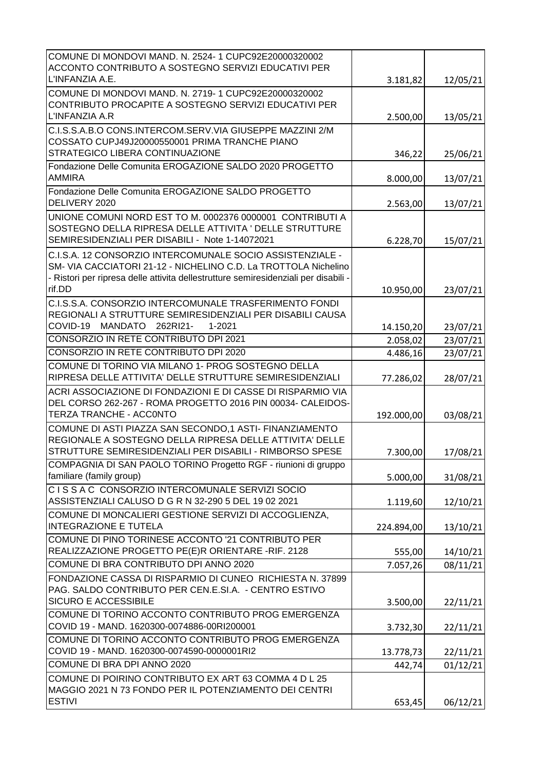| COMUNE DI MONDOVI MAND. N. 2524-1 CUPC92E20000320002<br>ACCONTO CONTRIBUTO A SOSTEGNO SERVIZI EDUCATIVI PER<br>L'INFANZIA A.E.                                                                                                |            |          |
|-------------------------------------------------------------------------------------------------------------------------------------------------------------------------------------------------------------------------------|------------|----------|
|                                                                                                                                                                                                                               | 3.181,82   | 12/05/21 |
| COMUNE DI MONDOVI MAND. N. 2719-1 CUPC92E20000320002<br>CONTRIBUTO PROCAPITE A SOSTEGNO SERVIZI EDUCATIVI PER<br>L'INFANZIA A.R                                                                                               | 2.500,00   | 13/05/21 |
| C.I.S.S.A.B.O CONS.INTERCOM.SERV.VIA GIUSEPPE MAZZINI 2/M                                                                                                                                                                     |            |          |
| COSSATO CUPJ49J20000550001 PRIMA TRANCHE PIANO<br>STRATEGICO LIBERA CONTINUAZIONE                                                                                                                                             | 346,22     | 25/06/21 |
| Fondazione Delle Comunita EROGAZIONE SALDO 2020 PROGETTO<br><b>AMMIRA</b>                                                                                                                                                     | 8.000,00   | 13/07/21 |
| Fondazione Delle Comunita EROGAZIONE SALDO PROGETTO<br>DELIVERY 2020                                                                                                                                                          | 2.563,00   | 13/07/21 |
| UNIONE COMUNI NORD EST TO M. 0002376 0000001 CONTRIBUTI A<br>SOSTEGNO DELLA RIPRESA DELLE ATTIVITA ' DELLE STRUTTURE<br>SEMIRESIDENZIALI PER DISABILI - Note 1-14072021                                                       | 6.228,70   | 15/07/21 |
| C.I.S.A. 12 CONSORZIO INTERCOMUNALE SOCIO ASSISTENZIALE -<br>SM- VIA CACCIATORI 21-12 - NICHELINO C.D. La TROTTOLA Nichelino<br>- Ristori per ripresa delle attivita dellestrutture semiresidenziali per disabili -<br>rif.DD |            |          |
| C.I.S.S.A. CONSORZIO INTERCOMUNALE TRASFERIMENTO FONDI                                                                                                                                                                        | 10.950,00  | 23/07/21 |
| REGIONALI A STRUTTURE SEMIRESIDENZIALI PER DISABILI CAUSA<br>COVID-19<br><b>MANDATO</b><br>262RI21-<br>1-2021                                                                                                                 | 14.150,20  | 23/07/21 |
| CONSORZIO IN RETE CONTRIBUTO DPI 2021                                                                                                                                                                                         | 2.058,02   | 23/07/21 |
| CONSORZIO IN RETE CONTRIBUTO DPI 2020                                                                                                                                                                                         | 4.486,16   | 23/07/21 |
| COMUNE DI TORINO VIA MILANO 1- PROG SOSTEGNO DELLA<br>RIPRESA DELLE ATTIVITA' DELLE STRUTTURE SEMIRESIDENZIALI                                                                                                                | 77.286,02  | 28/07/21 |
| ACRI ASSOCIAZIONE DI FONDAZIONI E DI CASSE DI RISPARMIO VIA<br>DEL CORSO 262-267 - ROMA PROGETTO 2016 PIN 00034- CALEIDOS-<br>TERZA TRANCHE - ACCONTO                                                                         | 192.000,00 | 03/08/21 |
| COMUNE DI ASTI PIAZZA SAN SECONDO,1 ASTI- FINANZIAMENTO<br>REGIONALE A SOSTEGNO DELLA RIPRESA DELLE ATTIVITA' DELLE<br>STRUTTURE SEMIRESIDENZIALI PER DISABILI - RIMBORSO SPESE                                               | 7.300,00   | 17/08/21 |
| COMPAGNIA DI SAN PAOLO TORINO Progetto RGF - riunioni di gruppo<br>familiare (family group)                                                                                                                                   | 5.000,00   | 31/08/21 |
| CISSA C CONSORZIO INTERCOMUNALE SERVIZI SOCIO<br>ASSISTENZIALI CALUSO D G R N 32-290 5 DEL 19 02 2021                                                                                                                         | 1.119,60   | 12/10/21 |
| COMUNE DI MONCALIERI GESTIONE SERVIZI DI ACCOGLIENZA,<br><b>INTEGRAZIONE E TUTELA</b>                                                                                                                                         | 224.894,00 | 13/10/21 |
| COMUNE DI PINO TORINESE ACCONTO '21 CONTRIBUTO PER<br>REALIZZAZIONE PROGETTO PE(E)R ORIENTARE -RIF. 2128                                                                                                                      | 555,00     | 14/10/21 |
| COMUNE DI BRA CONTRIBUTO DPI ANNO 2020                                                                                                                                                                                        | 7.057,26   | 08/11/21 |
| FONDAZIONE CASSA DI RISPARMIO DI CUNEO RICHIESTA N. 37899<br>PAG. SALDO CONTRIBUTO PER CEN.E.SI.A. - CENTRO ESTIVO<br>SICURO E ACCESSIBILE                                                                                    | 3.500,00   | 22/11/21 |
| COMUNE DI TORINO ACCONTO CONTRIBUTO PROG EMERGENZA<br>COVID 19 - MAND. 1620300-0074886-00RI200001                                                                                                                             | 3.732,30   | 22/11/21 |
| COMUNE DI TORINO ACCONTO CONTRIBUTO PROG EMERGENZA<br>COVID 19 - MAND. 1620300-0074590-0000001RI2                                                                                                                             | 13.778,73  | 22/11/21 |
| COMUNE DI BRA DPI ANNO 2020                                                                                                                                                                                                   | 442,74     | 01/12/21 |
| COMUNE DI POIRINO CONTRIBUTO EX ART 63 COMMA 4 D L 25<br>MAGGIO 2021 N 73 FONDO PER IL POTENZIAMENTO DEI CENTRI                                                                                                               |            |          |
| <b>ESTIVI</b>                                                                                                                                                                                                                 | 653,45     | 06/12/21 |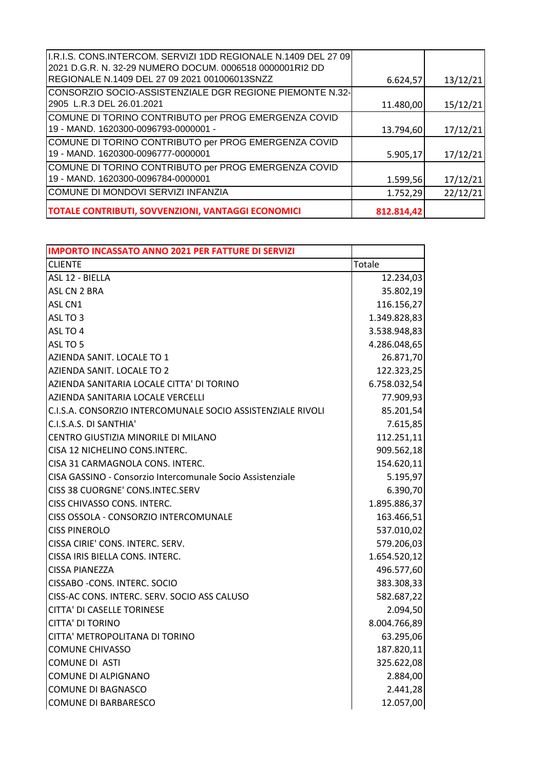| I.R.I.S. CONS.INTERCOM. SERVIZI 1DD REGIONALE N.1409 DEL 27 09<br>2021 D.G.R. N. 32-29 NUMERO DOCUM. 0006518 0000001RI2 DD |            |          |
|----------------------------------------------------------------------------------------------------------------------------|------------|----------|
| REGIONALE N.1409 DEL 27 09 2021 001006013SNZZ                                                                              | 6.624,57   | 13/12/21 |
| CONSORZIO SOCIO-ASSISTENZIALE DGR REGIONE PIEMONTE N.32- <br>2905 L.R.3 DEL 26.01.2021                                     | 11.480,00  | 15/12/21 |
| COMUNE DI TORINO CONTRIBUTO per PROG EMERGENZA COVID<br>19 - MAND. 1620300-0096793-0000001 -                               | 13.794,60  | 17/12/21 |
| COMUNE DI TORINO CONTRIBUTO per PROG EMERGENZA COVID<br>19 - MAND. 1620300-0096777-0000001                                 | 5.905,17   | 17/12/21 |
| COMUNE DI TORINO CONTRIBUTO per PROG EMERGENZA COVID<br>19 - MAND. 1620300-0096784-0000001                                 | 1.599,56   | 17/12/21 |
| COMUNE DI MONDOVI SERVIZI INFANZIA                                                                                         | 1.752,29   | 22/12/21 |
| <b>TOTALE CONTRIBUTI, SOVVENZIONI, VANTAGGI ECONOMICI</b>                                                                  | 812.814,42 |          |

| <b>IMPORTO INCASSATO ANNO 2021 PER FATTURE DI SERVIZI</b>   |              |
|-------------------------------------------------------------|--------------|
| <b>CLIENTE</b>                                              | Totale       |
| ASL 12 - BIELLA                                             | 12.234,03    |
| ASL CN 2 BRA                                                | 35.802,19    |
| ASL CN1                                                     | 116.156,27   |
| ASL TO 3                                                    | 1.349.828,83 |
| ASL TO 4                                                    | 3.538.948,83 |
| ASL TO 5                                                    | 4.286.048,65 |
| AZIENDA SANIT. LOCALE TO 1                                  | 26.871,70    |
| AZIENDA SANIT. LOCALE TO 2                                  | 122.323,25   |
| AZIENDA SANITARIA LOCALE CITTA' DI TORINO                   | 6.758.032,54 |
| AZIENDA SANITARIA LOCALE VERCELLI                           | 77.909,93    |
| C.I.S.A. CONSORZIO INTERCOMUNALE SOCIO ASSISTENZIALE RIVOLI | 85.201,54    |
| C.I.S.A.S. DI SANTHIA'                                      | 7.615,85     |
| CENTRO GIUSTIZIA MINORILE DI MILANO                         | 112.251,11   |
| CISA 12 NICHELINO CONS.INTERC.                              | 909.562,18   |
| CISA 31 CARMAGNOLA CONS. INTERC.                            | 154.620,11   |
| CISA GASSINO - Consorzio Intercomunale Socio Assistenziale  | 5.195,97     |
| CISS 38 CUORGNE' CONS.INTEC.SERV                            | 6.390,70     |
| CISS CHIVASSO CONS. INTERC.                                 | 1.895.886,37 |
| CISS OSSOLA - CONSORZIO INTERCOMUNALE                       | 163.466,51   |
| <b>CISS PINEROLO</b>                                        | 537.010,02   |
| CISSA CIRIE' CONS. INTERC. SERV.                            | 579.206,03   |
| CISSA IRIS BIELLA CONS. INTERC.                             | 1.654.520,12 |
| <b>CISSA PIANEZZA</b>                                       | 496.577,60   |
| CISSABO - CONS. INTERC. SOCIO                               | 383.308,33   |
| CISS-AC CONS. INTERC. SERV. SOCIO ASS CALUSO                | 582.687,22   |
| CITTA' DI CASELLE TORINESE                                  | 2.094,50     |
| <b>CITTA' DI TORINO</b>                                     | 8.004.766,89 |
| CITTA' METROPOLITANA DI TORINO                              | 63.295,06    |
| <b>COMUNE CHIVASSO</b>                                      | 187.820,11   |
| <b>COMUNE DI ASTI</b>                                       | 325.622,08   |
| COMUNE DI ALPIGNANO                                         | 2.884,00     |
| <b>COMUNE DI BAGNASCO</b>                                   | 2.441,28     |
| COMUNE DI BARBARESCO                                        | 12.057,00    |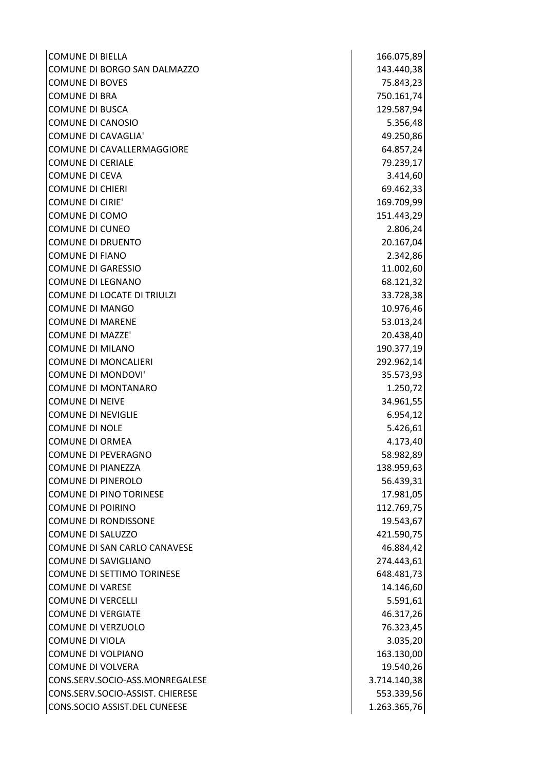| <b>COMUNE DI BIELLA</b>           | 166.075,89   |
|-----------------------------------|--------------|
| COMUNE DI BORGO SAN DALMAZZO      | 143.440,38   |
| <b>COMUNE DI BOVES</b>            | 75.843,23    |
| <b>COMUNE DI BRA</b>              | 750.161,74   |
| <b>COMUNE DI BUSCA</b>            | 129.587,94   |
| <b>COMUNE DI CANOSIO</b>          | 5.356,48     |
| <b>COMUNE DI CAVAGLIA'</b>        | 49.250,86    |
| COMUNE DI CAVALLERMAGGIORE        | 64.857,24    |
| <b>COMUNE DI CERIALE</b>          | 79.239,17    |
| <b>COMUNE DI CEVA</b>             | 3.414,60     |
| <b>COMUNE DI CHIERI</b>           | 69.462,33    |
| <b>COMUNE DI CIRIE'</b>           | 169.709,99   |
| COMUNE DI COMO                    | 151.443,29   |
| <b>COMUNE DI CUNEO</b>            | 2.806,24     |
| <b>COMUNE DI DRUENTO</b>          | 20.167,04    |
| <b>COMUNE DI FIANO</b>            | 2.342,86     |
| <b>COMUNE DI GARESSIO</b>         | 11.002,60    |
| <b>COMUNE DI LEGNANO</b>          | 68.121,32    |
| COMUNE DI LOCATE DI TRIULZI       | 33.728,38    |
| <b>COMUNE DI MANGO</b>            | 10.976,46    |
| <b>COMUNE DI MARENE</b>           | 53.013,24    |
| <b>COMUNE DI MAZZE'</b>           | 20.438,40    |
| <b>COMUNE DI MILANO</b>           | 190.377,19   |
| <b>COMUNE DI MONCALIERI</b>       | 292.962,14   |
| <b>COMUNE DI MONDOVI'</b>         | 35.573,93    |
| <b>COMUNE DI MONTANARO</b>        | 1.250,72     |
| <b>COMUNE DI NEIVE</b>            | 34.961,55    |
| <b>COMUNE DI NEVIGLIE</b>         | 6.954,12     |
| <b>COMUNE DI NOLE</b>             | 5.426,61     |
| <b>COMUNE DI ORMEA</b>            | 4.173,40     |
| COMUNE DI PEVERAGNO               | 58.982,89    |
| <b>COMUNE DI PIANEZZA</b>         | 138.959,63   |
| <b>COMUNE DI PINEROLO</b>         | 56.439,31    |
| <b>COMUNE DI PINO TORINESE</b>    | 17.981,05    |
| <b>COMUNE DI POIRINO</b>          | 112.769,75   |
| <b>COMUNE DI RONDISSONE</b>       | 19.543,67    |
| COMUNE DI SALUZZO                 | 421.590,75   |
| COMUNE DI SAN CARLO CANAVESE      | 46.884,42    |
| <b>COMUNE DI SAVIGLIANO</b>       | 274.443,61   |
| <b>COMUNE DI SETTIMO TORINESE</b> | 648.481,73   |
| <b>COMUNE DI VARESE</b>           | 14.146,60    |
| <b>COMUNE DI VERCELLI</b>         | 5.591,61     |
| <b>COMUNE DI VERGIATE</b>         | 46.317,26    |
| <b>COMUNE DI VERZUOLO</b>         | 76.323,45    |
| <b>COMUNE DI VIOLA</b>            | 3.035,20     |
| COMUNE DI VOLPIANO                | 163.130,00   |
| COMUNE DI VOLVERA                 | 19.540,26    |
| CONS.SERV.SOCIO-ASS.MONREGALESE   | 3.714.140,38 |
| CONS.SERV.SOCIO-ASSIST. CHIERESE  | 553.339,56   |
| CONS.SOCIO ASSIST.DEL CUNEESE     | 1.263.365,76 |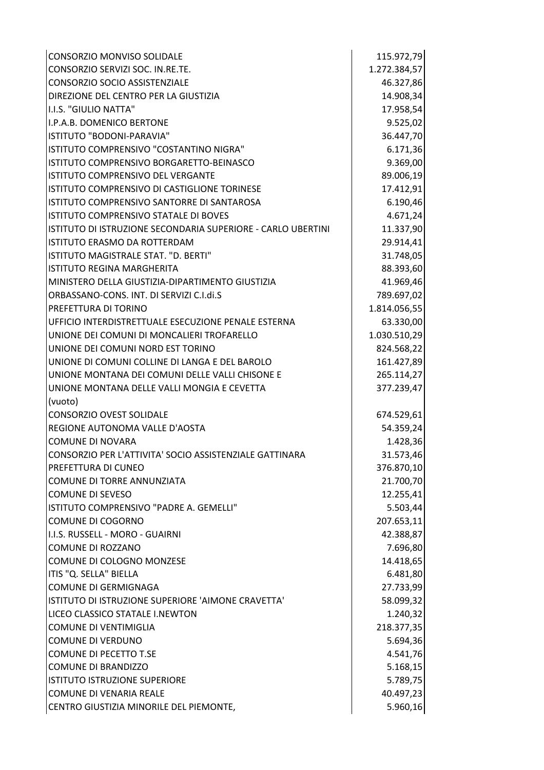| CONSORZIO MONVISO SOLIDALE                                   | 115.972,79   |
|--------------------------------------------------------------|--------------|
| CONSORZIO SERVIZI SOC. IN.RE.TE.                             | 1.272.384,57 |
| CONSORZIO SOCIO ASSISTENZIALE                                | 46.327,86    |
| DIREZIONE DEL CENTRO PER LA GIUSTIZIA                        | 14.908,34    |
| I.I.S. "GIULIO NATTA"                                        | 17.958,54    |
| II.P.A.B. DOMENICO BERTONE                                   | 9.525,02     |
| ISTITUTO "BODONI-PARAVIA"                                    | 36.447,70    |
| ISTITUTO COMPRENSIVO "COSTANTINO NIGRA"                      | 6.171,36     |
| ISTITUTO COMPRENSIVO BORGARETTO-BEINASCO                     | 9.369,00     |
| ISTITUTO COMPRENSIVO DEL VERGANTE                            | 89.006,19    |
| ISTITUTO COMPRENSIVO DI CASTIGLIONE TORINESE                 | 17.412,91    |
| ISTITUTO COMPRENSIVO SANTORRE DI SANTAROSA                   | 6.190,46     |
| ISTITUTO COMPRENSIVO STATALE DI BOVES                        | 4.671,24     |
| ISTITUTO DI ISTRUZIONE SECONDARIA SUPERIORE - CARLO UBERTINI | 11.337,90    |
| ISTITUTO ERASMO DA ROTTERDAM                                 | 29.914,41    |
| ISTITUTO MAGISTRALE STAT. "D. BERTI"                         | 31.748,05    |
| ISTITUTO REGINA MARGHERITA                                   | 88.393,60    |
| MINISTERO DELLA GIUSTIZIA-DIPARTIMENTO GIUSTIZIA             | 41.969,46    |
| ORBASSANO-CONS. INT. DI SERVIZI C.I.di.S                     | 789.697,02   |
| PREFETTURA DI TORINO                                         | 1.814.056,55 |
| UFFICIO INTERDISTRETTUALE ESECUZIONE PENALE ESTERNA          | 63.330,00    |
| UNIONE DEI COMUNI DI MONCALIERI TROFARELLO                   | 1.030.510,29 |
| UNIONE DEI COMUNI NORD EST TORINO                            | 824.568,22   |
| UNIONE DI COMUNI COLLINE DI LANGA E DEL BAROLO               | 161.427,89   |
| UNIONE MONTANA DEI COMUNI DELLE VALLI CHISONE E              | 265.114,27   |
| UNIONE MONTANA DELLE VALLI MONGIA E CEVETTA                  | 377.239,47   |
| (vuoto)                                                      |              |
| <b>CONSORZIO OVEST SOLIDALE</b>                              | 674.529,61   |
| REGIONE AUTONOMA VALLE D'AOSTA                               | 54.359,24    |
| <b>COMUNE DI NOVARA</b>                                      | 1.428,36     |
| CONSORZIO PER L'ATTIVITA' SOCIO ASSISTENZIALE GATTINARA      | 31.573,46    |
| <b>PREFETTURA DI CUNEO</b>                                   | 376.870,10   |
| COMUNE DI TORRE ANNUNZIATA                                   | 21.700,70    |
| <b>COMUNE DI SEVESO</b>                                      | 12.255,41    |
| ISTITUTO COMPRENSIVO "PADRE A. GEMELLI"                      | 5.503,44     |
| COMUNE DI COGORNO                                            | 207.653,11   |
| II.I.S. RUSSELL - MORO - GUAIRNI                             | 42.388,87    |
| COMUNE DI ROZZANO                                            | 7.696,80     |
| COMUNE DI COLOGNO MONZESE                                    | 14.418,65    |
| ITIS "Q. SELLA" BIELLA                                       | 6.481,80     |
| COMUNE DI GERMIGNAGA                                         | 27.733,99    |
| ISTITUTO DI ISTRUZIONE SUPERIORE 'AIMONE CRAVETTA'           | 58.099,32    |
| LICEO CLASSICO STATALE I.NEWTON                              | 1.240,32     |
| <b>COMUNE DI VENTIMIGLIA</b>                                 | 218.377,35   |
| <b>COMUNE DI VERDUNO</b>                                     | 5.694,36     |
| COMUNE DI PECETTO T.SE                                       | 4.541,76     |
| <b>COMUNE DI BRANDIZZO</b>                                   | 5.168,15     |
| ISTITUTO ISTRUZIONE SUPERIORE                                | 5.789,75     |
| COMUNE DI VENARIA REALE                                      | 40.497,23    |
| CENTRO GIUSTIZIA MINORILE DEL PIEMONTE,                      | 5.960,16     |